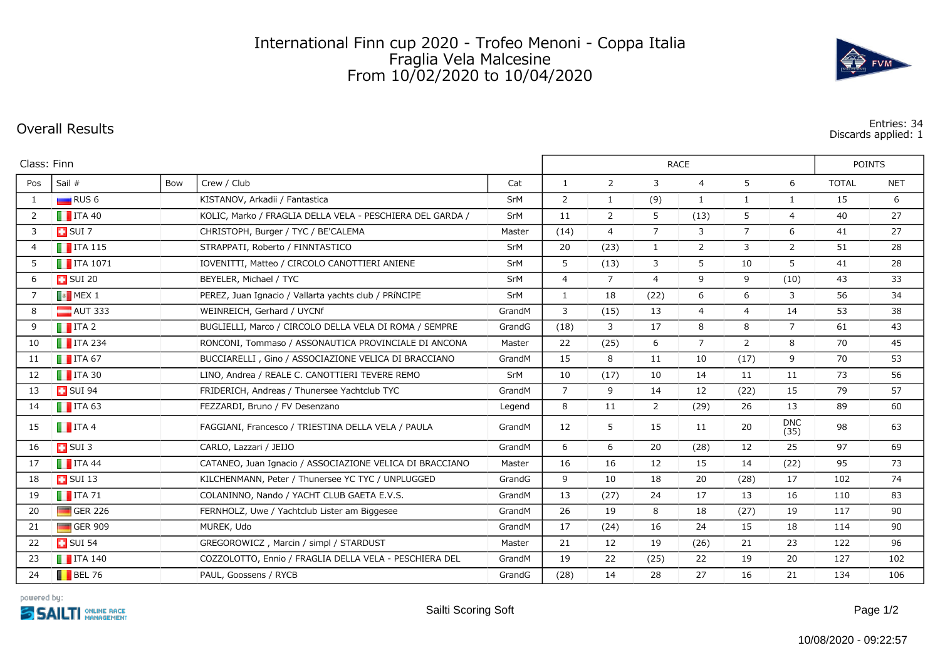## International Finn cup 2020 - Trofeo Menoni - Coppa Italia Fraglia Vela Malcesine From 10/02/2020 to 10/04/2020

**Overall Results Entries: 34 Discards applied: 1**

| Class: Finn    |                                                     |     |                                                           |        | <b>RACE</b>    |                |                |                |                |                    | <b>POINTS</b> |            |  |
|----------------|-----------------------------------------------------|-----|-----------------------------------------------------------|--------|----------------|----------------|----------------|----------------|----------------|--------------------|---------------|------------|--|
| Pos            | Sail #                                              | Bow | Crew / Club                                               | Cat    | $\mathbf{1}$   | $\overline{2}$ | 3              | $\overline{4}$ | 5              | 6                  | <b>TOTAL</b>  | <b>NET</b> |  |
| $\mathbf{1}$   | RUS <sub>6</sub>                                    |     | KISTANOV, Arkadii / Fantastica                            | SrM    | 2              | 1              | (9)            | 1              | 1              | $\mathbf{1}$       | 15            | 6          |  |
| $\overline{2}$ | $\blacksquare$ ITA 40                               |     | KOLIC, Marko / FRAGLIA DELLA VELA - PESCHIERA DEL GARDA / | SrM    | 11             | 2              | 5              | (13)           | 5              | $\overline{4}$     | 40            | 27         |  |
| 3              | $\Box$ SUI 7                                        |     | CHRISTOPH, Burger / TYC / BE'CALEMA                       | Master | (14)           | $\overline{4}$ | $\overline{7}$ | 3              | $\overline{7}$ | 6                  | 41            | 27         |  |
| $\overline{4}$ | $\blacksquare$ ITA 115                              |     | STRAPPATI, Roberto / FINNTASTICO                          | SrM    | 20             | (23)           | $\mathbf{1}$   | 2              | 3              | $\overline{2}$     | 51            | 28         |  |
| 5              | $\blacksquare$ ITA 1071                             |     | IOVENITTI, Matteo / CIRCOLO CANOTTIERI ANIENE             | SrM    | 5              | (13)           | 3              | 5              | 10             | 5                  | 41            | 28         |  |
| 6              | $\Box$ SUI 20                                       |     | BEYELER, Michael / TYC                                    | SrM    | $\overline{4}$ | $\overline{7}$ | $\overline{4}$ | 9              | 9              | (10)               | 43            | 33         |  |
| $\overline{7}$ | $\begin{array}{ c c c }\n\hline\n\end{array}$ MEX 1 |     | PEREZ, Juan Ignacio / Vallarta yachts club / PRÍNCIPE     | SrM    | $\mathbf{1}$   | 18             | (22)           | 6              | 6              | 3                  | 56            | 34         |  |
| 8              | $\blacksquare$ AUT 333                              |     | WEINREICH, Gerhard / UYCNf                                | GrandM | $\overline{3}$ | (15)           | 13             | $\overline{4}$ | $\overline{4}$ | 14                 | 53            | 38         |  |
| 9              | $\blacksquare$ ITA 2                                |     | BUGLIELLI, Marco / CIRCOLO DELLA VELA DI ROMA / SEMPRE    | GrandG | (18)           | 3              | 17             | 8              | 8              | $\overline{7}$     | 61            | 43         |  |
| 10             | $\blacksquare$ ITA 234                              |     | RONCONI, Tommaso / ASSONAUTICA PROVINCIALE DI ANCONA      | Master | 22             | (25)           | 6              | $\overline{7}$ | $\overline{2}$ | 8                  | 70            | 45         |  |
| 11             | $\blacksquare$ ITA 67                               |     | BUCCIARELLI, Gino / ASSOCIAZIONE VELICA DI BRACCIANO      | GrandM | 15             | 8              | 11             | 10             | (17)           | 9                  | 70            | 53         |  |
| 12             | $\blacksquare$ ITA 30                               |     | LINO, Andrea / REALE C. CANOTTIERI TEVERE REMO            | SrM    | 10             | (17)           | 10             | 14             | 11             | 11                 | 73            | 56         |  |
| 13             | $\Box$ SUI 94                                       |     | FRIDERICH, Andreas / Thunersee Yachtclub TYC              | GrandM | $\overline{7}$ | 9              | 14             | 12             | (22)           | 15                 | 79            | 57         |  |
| 14             | $\blacksquare$ ITA 63                               |     | FEZZARDI, Bruno / FV Desenzano                            | Legend | 8              | 11             | 2              | (29)           | 26             | 13                 | 89            | 60         |  |
| 15             | $\blacksquare$ ITA 4                                |     | FAGGIANI, Francesco / TRIESTINA DELLA VELA / PAULA        | GrandM | 12             | 5              | 15             | 11             | 20             | <b>DNC</b><br>(35) | 98            | 63         |  |
| 16             | $\Box$ SUI 3                                        |     | CARLO, Lazzari / JEIJO                                    | GrandM | 6              | 6              | 20             | (28)           | 12             | 25                 | 97            | 69         |  |
| 17             | $\blacksquare$ ITA 44                               |     | CATANEO, Juan Ignacio / ASSOCIAZIONE VELICA DI BRACCIANO  | Master | 16             | 16             | 12             | 15             | 14             | (22)               | 95            | 73         |  |
| 18             | $\Box$ SUI 13                                       |     | KILCHENMANN, Peter / Thunersee YC TYC / UNPLUGGED         | GrandG | 9              | 10             | 18             | 20             | (28)           | 17                 | 102           | 74         |  |
| 19             | $\blacksquare$ ITA 71                               |     | COLANINNO, Nando / YACHT CLUB GAETA E.V.S.                | GrandM | 13             | (27)           | 24             | 17             | 13             | 16                 | 110           | 83         |  |
| 20             | $\Box$ GER 226                                      |     | FERNHOLZ, Uwe / Yachtclub Lister am Biggesee              | GrandM | 26             | 19             | 8              | 18             | (27)           | 19                 | 117           | 90         |  |
| 21             | $\Box$ GER 909                                      |     | MUREK, Udo                                                | GrandM | 17             | (24)           | 16             | 24             | 15             | 18                 | 114           | 90         |  |
| 22             | $\overline{1}$ SUI 54                               |     | GREGOROWICZ, Marcin / simpl / STARDUST                    | Master | 21             | 12             | 19             | (26)           | 21             | 23                 | 122           | 96         |  |
| 23             | $\blacksquare$ ITA 140                              |     | COZZOLOTTO, Ennio / FRAGLIA DELLA VELA - PESCHIERA DEL    | GrandM | 19             | 22             | (25)           | 22             | 19             | 20                 | 127           | 102        |  |
| 24             | $\blacksquare$ BEL 76                               |     | PAUL, Goossens / RYCB                                     | GrandG | (28)           | 14             | 28             | 27             | 16             | 21                 | 134           | 106        |  |